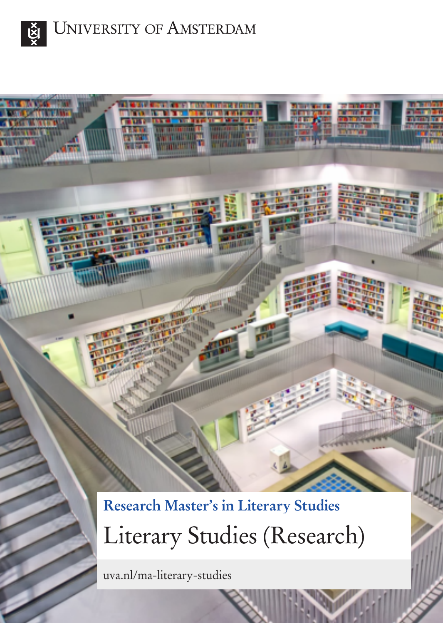

**UNIVERSITY OF AMSTERDAM** 

**Research Master's in Literary Studies** Literary Studies (Research)

uva.nl/ma-literary-studies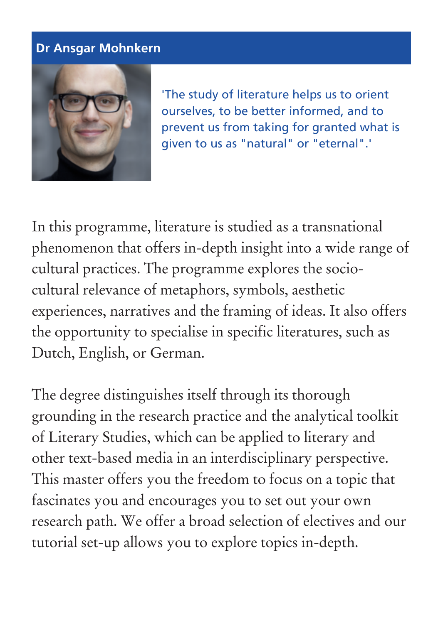### **Dr Ansgar Mohnkern**



'The study of literature helps us to orient ourselves, to be better informed, and to prevent us from taking for granted what is given to us as "natural" or "eternal".'

In this programme, literature is studied as a transnational phenomenon that offers in-depth insight into a wide range of cultural practices. The programme explores the sociocultural relevance of metaphors, symbols, aesthetic experiences, narratives and the framing of ideas. It also offers the opportunity to specialise in specific literatures, such as Dutch, English, or German.

The degree distinguishes itself through its thorough grounding in the research practice and the analytical toolkit of Literary Studies, which can be applied to literary and other text-based media in an interdisciplinary perspective. This master offers you the freedom to focus on a topic that fascinates you and encourages you to set out your own research path. We offer a broad selection of electives and our tutorial set-up allows you to explore topics in-depth.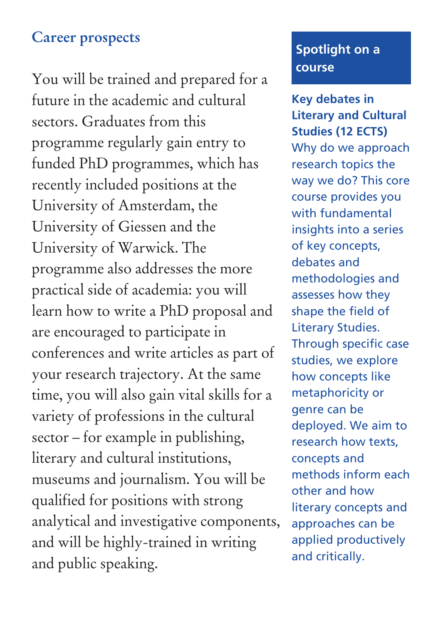## **Career prospects**

You will be trained and prepared for a future in the academic and cultural sectors. Graduates from this programme regularly gain entry to funded PhD programmes, which has recently included positions at the University of Amsterdam, the University of Giessen and the University of Warwick. The programme also addresses the more practical side of academia: you will learn how to write a PhD proposal and are encouraged to participate in conferences and write articles as part of your research trajectory. At the same time, you will also gain vital skills for a variety of professions in the cultural sector – for example in publishing, literary and cultural institutions, museums and journalism. You will be qualified for positions with strong analytical and investigative components, and will be highly-trained in writing and public speaking.

### **Spotlight on a course**

**Key debates in Literary and Cultural Studies (12 ECTS)** Why do we approach research topics the way we do? This core course provides you with fundamental insights into a series of key concepts, debates and methodologies and assesses how they shape the field of Literary Studies. Through specific case studies, we explore how concepts like metaphoricity or genre can be deployed. We aim to research how texts, concepts and methods inform each other and how literary concepts and approaches can be applied productively and critically.